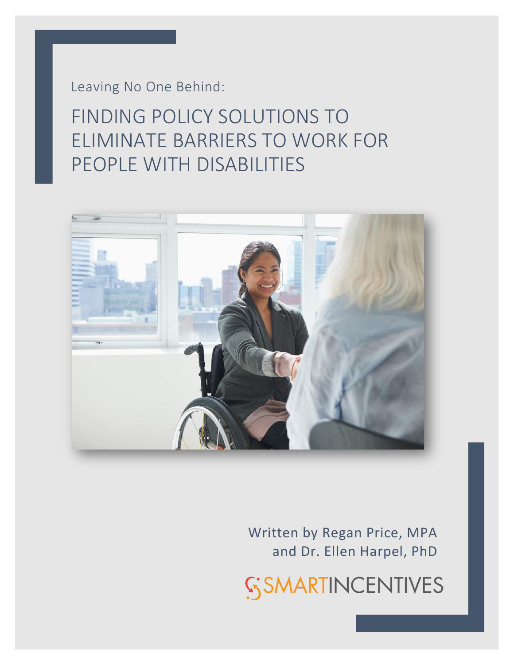Leaving No One Behind:

FINDING POLICY SOLUTIONS TO ELIMINATE BARRIERS TO WORK FOR PEOPLE WITH DISABILITIES



Written by Regan Price, MPA and Dr. Ellen Harpel, PhD

**SSMARTINCENTIVES**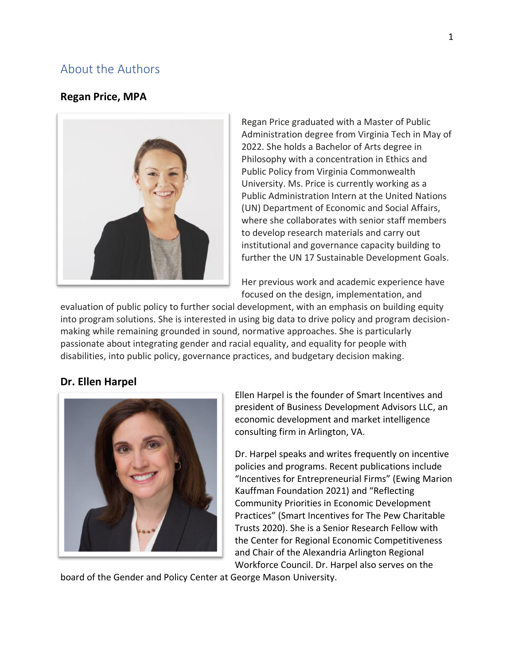## <span id="page-1-0"></span>About the Authors

#### **Regan Price, MPA**



Regan Price graduated with a Master of Public Administration degree from Virginia Tech in May of 2022. She holds a Bachelor of Arts degree in Philosophy with a concentration in Ethics and Public Policy from Virginia Commonwealth University. Ms. Price is currently working as a Public Administration Intern at the United Nations (UN) Department of Economic and Social Affairs, where she collaborates with senior staff members to develop research materials and carry out institutional and governance capacity building to further the UN 17 Sustainable Development Goals.

Her previous work and academic experience have focused on the design, implementation, and

evaluation of public policy to further social development, with an emphasis on building equity into program solutions. She is interested in using big data to drive policy and program decisionmaking while remaining grounded in sound, normative approaches. She is particularly passionate about integrating gender and racial equality, and equality for people with disabilities, into public policy, governance practices, and budgetary decision making.

#### **Dr. Ellen Harpel**



Ellen Harpel is the founder of Smart Incentives and president of Business Development Advisors LLC, an economic development and market intelligence consulting firm in Arlington, VA.

Dr. Harpel speaks and writes frequently on incentive policies and programs. Recent publications include "Incentives for Entrepreneurial Firms" (Ewing Marion Kauffman Foundation 2021) and "Reflecting Community Priorities in Economic Development Practices" (Smart Incentives for The Pew Charitable Trusts 2020). She is a Senior Research Fellow with the Center for Regional Economic Competitiveness and Chair of the Alexandria Arlington Regional Workforce Council. Dr. Harpel also serves on the

board of the Gender and Policy Center at George Mason University.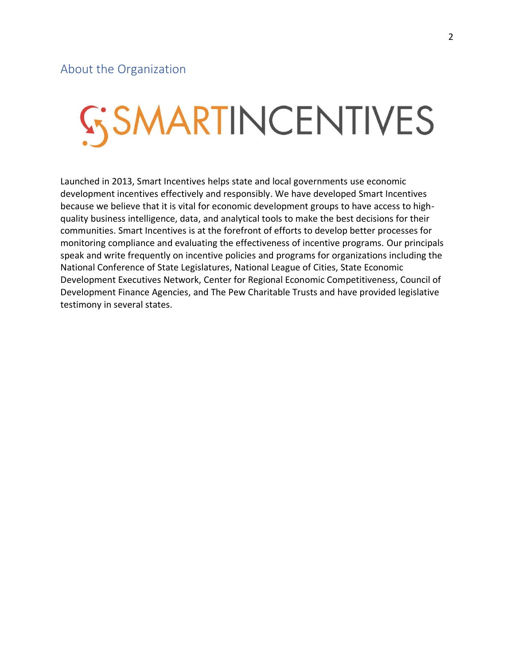# <span id="page-2-0"></span>SSMARTINCENTIVES

Launched in 2013, Smart Incentives helps state and local governments use economic development incentives effectively and responsibly. We have developed Smart Incentives because we believe that it is vital for economic development groups to have access to highquality business intelligence, data, and analytical tools to make the best decisions for their communities. Smart Incentives is at the forefront of efforts to develop better processes for monitoring compliance and evaluating the effectiveness of incentive programs. Our principals speak and write frequently on incentive policies and programs for organizations including the National Conference of State Legislatures, National League of Cities, State Economic Development Executives Network, Center for Regional Economic Competitiveness, Council of Development Finance Agencies, and The Pew Charitable Trusts and have provided legislative testimony in several states.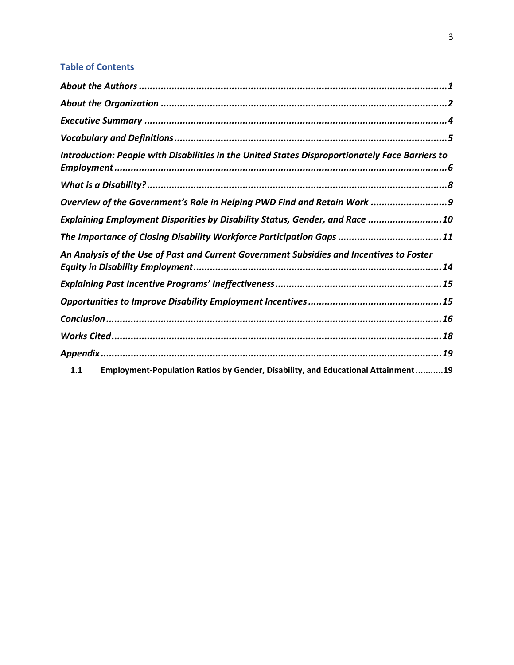### **Table of Contents**

| Introduction: People with Disabilities in the United States Disproportionately Face Barriers to |  |
|-------------------------------------------------------------------------------------------------|--|
|                                                                                                 |  |
| Overview of the Government's Role in Helping PWD Find and Retain Work 9                         |  |
| Explaining Employment Disparities by Disability Status, Gender, and Race 10                     |  |
| The Importance of Closing Disability Workforce Participation Gaps 11                            |  |
| An Analysis of the Use of Past and Current Government Subsidies and Incentives to Foster        |  |
|                                                                                                 |  |
|                                                                                                 |  |
|                                                                                                 |  |
|                                                                                                 |  |
|                                                                                                 |  |
| Employment-Population Ratios by Gender, Disability, and Educational Attainment19<br>1.1         |  |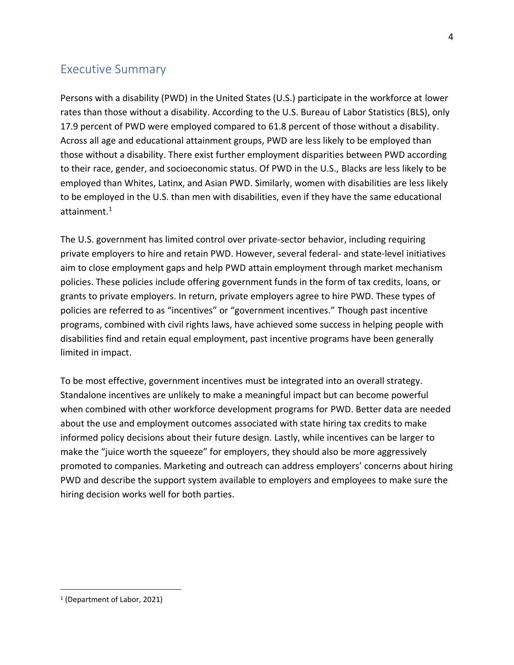## <span id="page-4-0"></span>Executive Summary

Persons with a disability (PWD) in the United States (U.S.) participate in the workforce at lower rates than those without a disability. According to the U.S. Bureau of Labor Statistics (BLS), only 17.9 percent of PWD were employed compared to 61.8 percent of those without a disability. Across all age and educational attainment groups, PWD are less likely to be employed than those without a disability. There exist further employment disparities between PWD according to their race, gender, and socioeconomic status. Of PWD in the U.S., Blacks are less likely to be employed than Whites, Latinx, and Asian PWD. Similarly, women with disabilities are less likely to be employed in the U.S. than men with disabilities, even if they have the same educational attainment. $1$ 

The U.S. government has limited control over private-sector behavior, including requiring private employers to hire and retain PWD. However, several federal- and state-level initiatives aim to close employment gaps and help PWD attain employment through market mechanism policies. These policies include offering government funds in the form of tax credits, loans, or grants to private employers. In return, private employers agree to hire PWD. These types of policies are referred to as "incentives" or "government incentives." Though past incentive programs, combined with civil rights laws, have achieved some success in helping people with disabilities find and retain equal employment, past incentive programs have been generally limited in impact.

To be most effective, government incentives must be integrated into an overall strategy. Standalone incentives are unlikely to make a meaningful impact but can become powerful when combined with other workforce development programs for PWD. Better data are needed about the use and employment outcomes associated with state hiring tax credits to make informed policy decisions about their future design. Lastly, while incentives can be larger to make the "juice worth the squeeze" for employers, they should also be more aggressively promoted to companies. Marketing and outreach can address employers' concerns about hiring PWD and describe the support system available to employers and employees to make sure the hiring decision works well for both parties.

<sup>1</sup> (Department of Labor, 2021)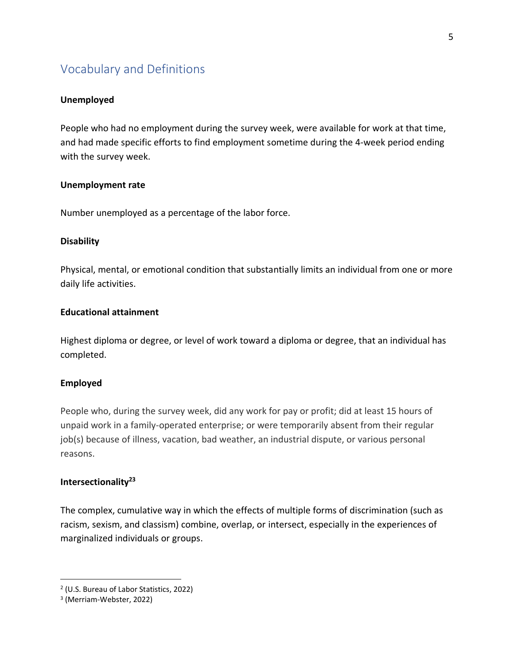## <span id="page-5-0"></span>Vocabulary and Definitions

#### **Unemployed**

People who had no employment during the survey week, were available for work at that time, and had made specific efforts to find employment sometime during the 4-week period ending with the survey week.

#### **Unemployment rate**

Number unemployed as a percentage of the labor force.

#### **Disability**

Physical, mental, or emotional condition that substantially limits an individual from one or more daily life activities.

#### **Educational attainment**

Highest diploma or degree, or level of work toward a diploma or degree, that an individual has completed.

#### **Employed**

People who, during the survey week, did any work for pay or profit; did at least 15 hours of unpaid work in a family-operated enterprise; or were temporarily absent from their regular job(s) because of illness, vacation, bad weather, an industrial dispute, or various personal reasons.

#### **Intersectionality<sup>23</sup>**

The complex, cumulative way in which the effects of multiple forms of discrimination (such as racism, sexism, and classism) combine, overlap, or intersect, especially in the experiences of marginalized individuals or groups.

<sup>2</sup> (U.S. Bureau of Labor Statistics, 2022)

<sup>3</sup> (Merriam-Webster, 2022)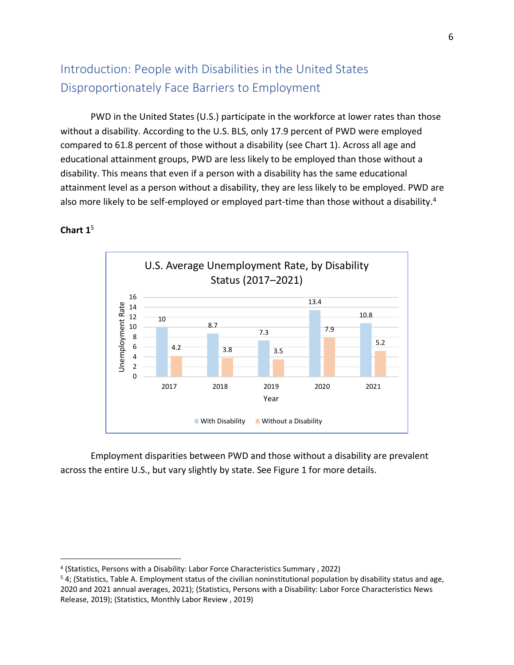# <span id="page-6-0"></span>Introduction: People with Disabilities in the United States Disproportionately Face Barriers to Employment

PWD in the United States (U.S.) participate in the workforce at lower rates than those without a disability. According to the U.S. BLS, only 17.9 percent of PWD were employed compared to 61.8 percent of those without a disability (see Chart 1). Across all age and educational attainment groups, PWD are less likely to be employed than those without a disability. This means that even if a person with a disability has the same educational attainment level as a person without a disability, they are less likely to be employed. PWD are also more likely to be self-employed or employed part-time than those without a disability.<sup>4</sup>

<span id="page-6-1"></span>

#### **Chart 1**<sup>5</sup>

Employment disparities between PWD and those without a disability are prevalent across the entire U.S., but vary slightly by state. See Figure 1 for more details.

<sup>4</sup> (Statistics, Persons with a Disability: Labor Force Characteristics Summary , 2022)

<sup>5</sup> [4;](#page-6-1) (Statistics, Table A. Employment status of the civilian noninstitutional population by disability status and age, 2020 and 2021 annual averages, 2021); (Statistics, Persons with a Disability: Labor Force Characteristics News Release, 2019); (Statistics, Monthly Labor Review , 2019)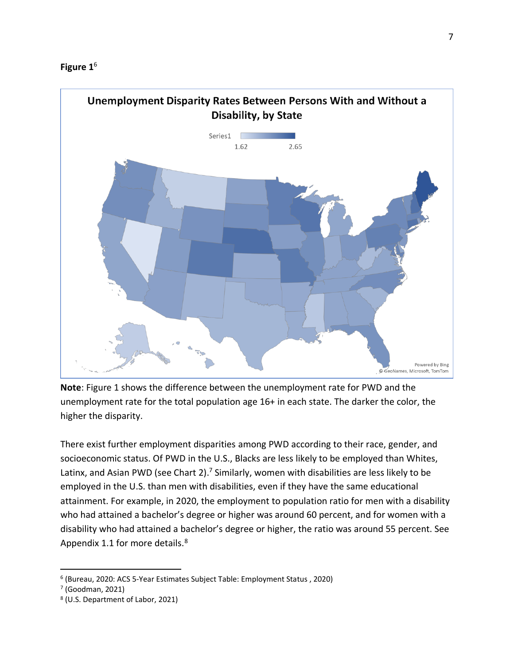



**Note**: Figure 1 shows the difference between the unemployment rate for PWD and the unemployment rate for the total population age 16+ in each state. The darker the color, the higher the disparity.

There exist further employment disparities among PWD according to their race, gender, and socioeconomic status. Of PWD in the U.S., Blacks are less likely to be employed than Whites, Latinx, and Asian PWD (see Chart 2).<sup>7</sup> Similarly, women with disabilities are less likely to be employed in the U.S. than men with disabilities, even if they have the same educational attainment. For example, in 2020, the employment to population ratio for men with a disability who had attained a bachelor's degree or higher was around 60 percent, and for women with a disability who had attained a bachelor's degree or higher, the ratio was around 55 percent. See Appendix 1.1 for more details.<sup>8</sup>

<sup>6</sup> (Bureau, 2020: ACS 5-Year Estimates Subject Table: Employment Status , 2020)

<sup>7</sup> (Goodman, 2021)

<sup>8</sup> (U.S. Department of Labor, 2021)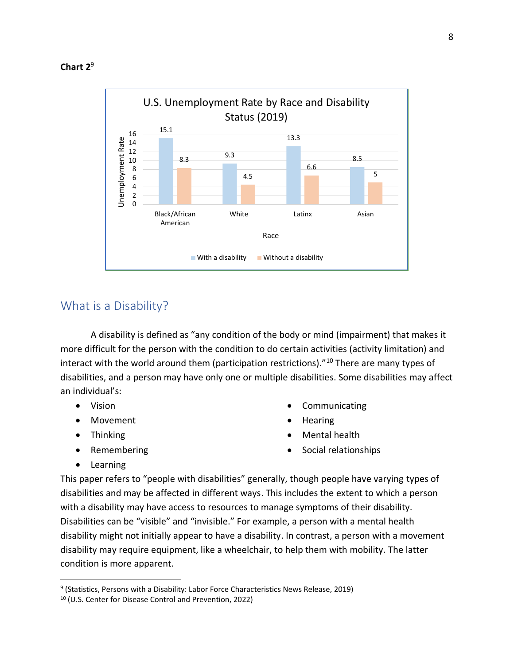

## <span id="page-8-0"></span>What is a Disability?

A disability is defined as "any condition of the body or mind (impairment) that makes it more difficult for the person with the condition to do certain activities (activity limitation) and interact with the world around them (participation restrictions)."<sup>10</sup> There are many types of disabilities, and a person may have only one or multiple disabilities. Some disabilities may affect an individual's:

- Vision
- Movement
- Thinking
- Remembering
- **Communicating**
- Hearing
- Mental health
- Social relationships

• Learning

This paper refers to "people with disabilities" generally, though people have varying types of disabilities and may be affected in different ways. This includes the extent to which a person with a disability may have access to resources to manage symptoms of their disability. Disabilities can be "visible" and "invisible." For example, a person with a mental health disability might not initially appear to have a disability. In contrast, a person with a movement disability may require equipment, like a wheelchair, to help them with mobility. The latter condition is more apparent.

<sup>&</sup>lt;sup>9</sup> (Statistics, Persons with a Disability: Labor Force Characteristics News Release, 2019)

<sup>10</sup> (U.S. Center for Disease Control and Prevention, 2022)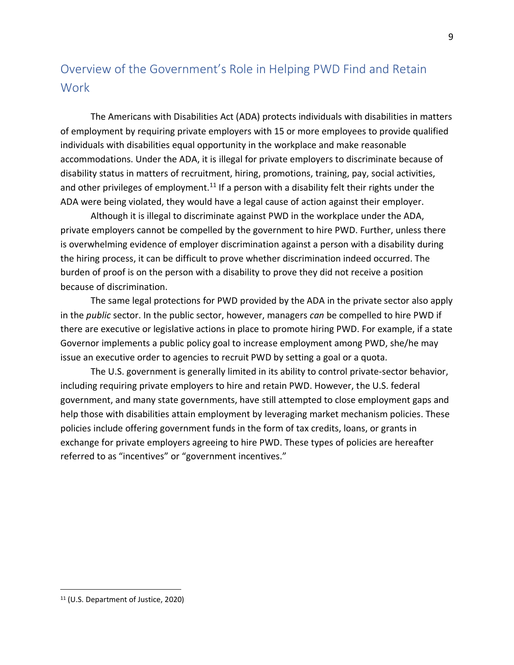# <span id="page-9-0"></span>Overview of the Government's Role in Helping PWD Find and Retain **Work**

The Americans with Disabilities Act (ADA) protects individuals with disabilities in matters of employment by requiring private employers with 15 or more employees to provide qualified individuals with disabilities equal opportunity in the workplace and make reasonable accommodations. Under the ADA, it is illegal for private employers to discriminate because of disability status in matters of recruitment, hiring, promotions, training, pay, social activities, and other privileges of employment.<sup>11</sup> If a person with a disability felt their rights under the ADA were being violated, they would have a legal cause of action against their employer.

Although it is illegal to discriminate against PWD in the workplace under the ADA, private employers cannot be compelled by the government to hire PWD. Further, unless there is overwhelming evidence of employer discrimination against a person with a disability during the hiring process, it can be difficult to prove whether discrimination indeed occurred. The burden of proof is on the person with a disability to prove they did not receive a position because of discrimination.

The same legal protections for PWD provided by the ADA in the private sector also apply in the *public* sector. In the public sector, however, managers *can* be compelled to hire PWD if there are executive or legislative actions in place to promote hiring PWD. For example, if a state Governor implements a public policy goal to increase employment among PWD, she/he may issue an executive order to agencies to recruit PWD by setting a goal or a quota.

The U.S. government is generally limited in its ability to control private-sector behavior, including requiring private employers to hire and retain PWD. However, the U.S. federal government, and many state governments, have still attempted to close employment gaps and help those with disabilities attain employment by leveraging market mechanism policies. These policies include offering government funds in the form of tax credits, loans, or grants in exchange for private employers agreeing to hire PWD. These types of policies are hereafter referred to as "incentives" or "government incentives."

<sup>11</sup> (U.S. Department of Justice, 2020)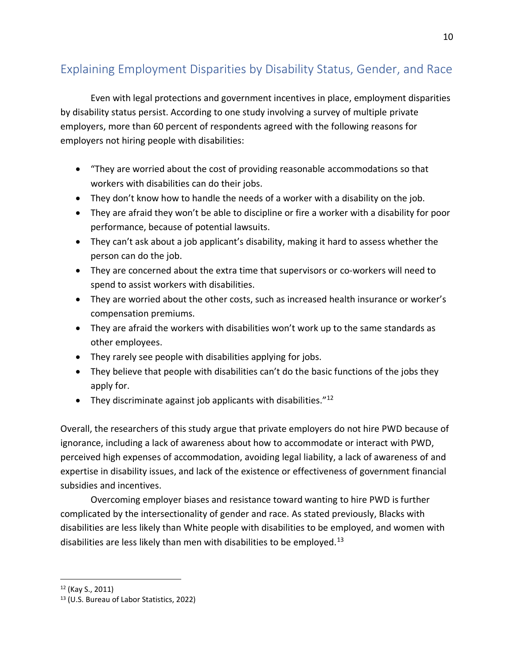# <span id="page-10-0"></span>Explaining Employment Disparities by Disability Status, Gender, and Race

Even with legal protections and government incentives in place, employment disparities by disability status persist. According to one study involving a survey of multiple private employers, more than 60 percent of respondents agreed with the following reasons for employers not hiring people with disabilities:

- "They are worried about the cost of providing reasonable accommodations so that workers with disabilities can do their jobs.
- They don't know how to handle the needs of a worker with a disability on the job.
- They are afraid they won't be able to discipline or fire a worker with a disability for poor performance, because of potential lawsuits.
- They can't ask about a job applicant's disability, making it hard to assess whether the person can do the job.
- They are concerned about the extra time that supervisors or co-workers will need to spend to assist workers with disabilities.
- They are worried about the other costs, such as increased health insurance or worker's compensation premiums.
- They are afraid the workers with disabilities won't work up to the same standards as other employees.
- They rarely see people with disabilities applying for jobs.
- They believe that people with disabilities can't do the basic functions of the jobs they apply for.
- They discriminate against job applicants with disabilities." $^{12}$

Overall, the researchers of this study argue that private employers do not hire PWD because of ignorance, including a lack of awareness about how to accommodate or interact with PWD, perceived high expenses of accommodation, avoiding legal liability, a lack of awareness of and expertise in disability issues, and lack of the existence or effectiveness of government financial subsidies and incentives.

Overcoming employer biases and resistance toward wanting to hire PWD is further complicated by the intersectionality of gender and race. As stated previously, Blacks with disabilities are less likely than White people with disabilities to be employed, and women with disabilities are less likely than men with disabilities to be employed.<sup>13</sup>

<sup>12</sup> (Kay S., 2011)

<sup>13</sup> (U.S. Bureau of Labor Statistics, 2022)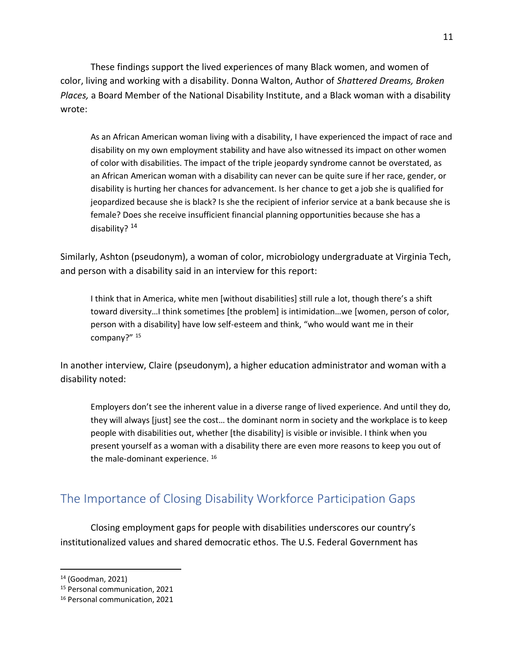These findings support the lived experiences of many Black women, and women of color, living and working with a disability. Donna Walton, Author of *Shattered Dreams, Broken Places,* a Board Member of the National Disability Institute, and a Black woman with a disability wrote:

As an African American woman living with a disability, I have experienced the impact of race and disability on my own employment stability and have also witnessed its impact on other women of color with disabilities. The impact of the triple jeopardy syndrome cannot be overstated, as an African American woman with a disability can never can be quite sure if her race, gender, or disability is hurting her chances for advancement. Is her chance to get a job she is qualified for jeopardized because she is black? Is she the recipient of inferior service at a bank because she is female? Does she receive insufficient financial planning opportunities because she has a disability? <sup>14</sup>

Similarly, Ashton (pseudonym), a woman of color, microbiology undergraduate at Virginia Tech, and person with a disability said in an interview for this report:

I think that in America, white men [without disabilities] still rule a lot, though there's a shift toward diversity…I think sometimes [the problem] is intimidation…we [women, person of color, person with a disability] have low self-esteem and think, "who would want me in their company?" <sup>15</sup>

In another interview, Claire (pseudonym), a higher education administrator and woman with a disability noted:

Employers don't see the inherent value in a diverse range of lived experience. And until they do, they will always [just] see the cost… the dominant norm in society and the workplace is to keep people with disabilities out, whether [the disability] is visible or invisible. I think when you present yourself as a woman with a disability there are even more reasons to keep you out of the male-dominant experience.<sup>16</sup>

## <span id="page-11-0"></span>The Importance of Closing Disability Workforce Participation Gaps

Closing employment gaps for people with disabilities underscores our country's institutionalized values and shared democratic ethos. The U.S. Federal Government has

<sup>14</sup> (Goodman, 2021)

<sup>15</sup> Personal communication, 2021

<sup>16</sup> Personal communication, 2021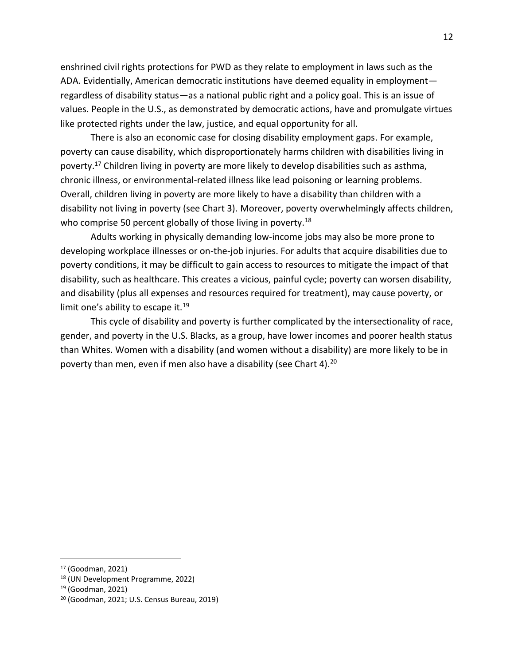enshrined civil rights protections for PWD as they relate to employment in laws such as the ADA. Evidentially, American democratic institutions have deemed equality in employment regardless of disability status—as a national public right and a policy goal. This is an issue of values. People in the U.S., as demonstrated by democratic actions, have and promulgate virtues like protected rights under the law, justice, and equal opportunity for all.

There is also an economic case for closing disability employment gaps. For example, poverty can cause disability, which disproportionately harms children with disabilities living in poverty.<sup>17</sup> Children living in poverty are more likely to develop disabilities such as asthma, chronic illness, or environmental-related illness like lead poisoning or learning problems. Overall, children living in poverty are more likely to have a disability than children with a disability not living in poverty (see Chart 3). Moreover, poverty overwhelmingly affects children, who comprise 50 percent globally of those living in poverty.<sup>18</sup>

Adults working in physically demanding low-income jobs may also be more prone to developing workplace illnesses or on-the-job injuries. For adults that acquire disabilities due to poverty conditions, it may be difficult to gain access to resources to mitigate the impact of that disability, such as healthcare. This creates a vicious, painful cycle; poverty can worsen disability, and disability (plus all expenses and resources required for treatment), may cause poverty, or limit one's ability to escape it.<sup>19</sup>

This cycle of disability and poverty is further complicated by the intersectionality of race, gender, and poverty in the U.S. Blacks, as a group, have lower incomes and poorer health status than Whites. Women with a disability (and women without a disability) are more likely to be in poverty than men, even if men also have a disability (see Chart 4).<sup>20</sup>

<sup>17</sup> (Goodman, 2021)

<sup>18</sup> (UN Development Programme, 2022)

<sup>19</sup> (Goodman, 2021)

<sup>20</sup> (Goodman, 2021; U.S. Census Bureau, 2019)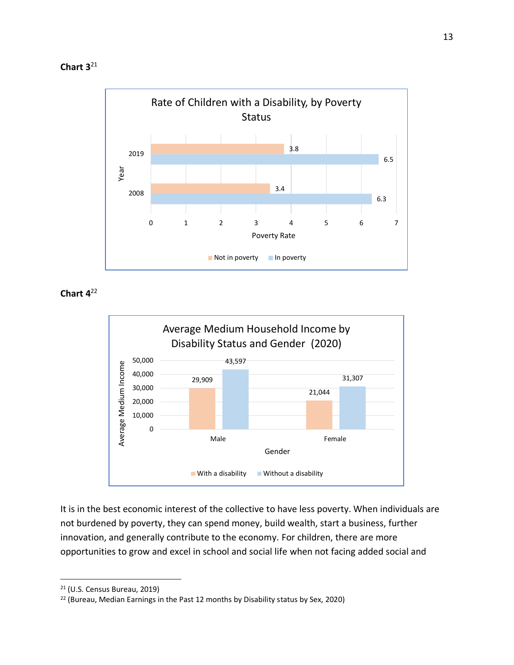



**Chart 4** 22



It is in the best economic interest of the collective to have less poverty. When individuals are not burdened by poverty, they can spend money, build wealth, start a business, further innovation, and generally contribute to the economy. For children, there are more opportunities to grow and excel in school and social life when not facing added social and

<sup>21</sup> (U.S. Census Bureau, 2019)

<sup>&</sup>lt;sup>22</sup> (Bureau, Median Earnings in the Past 12 months by Disability status by Sex, 2020)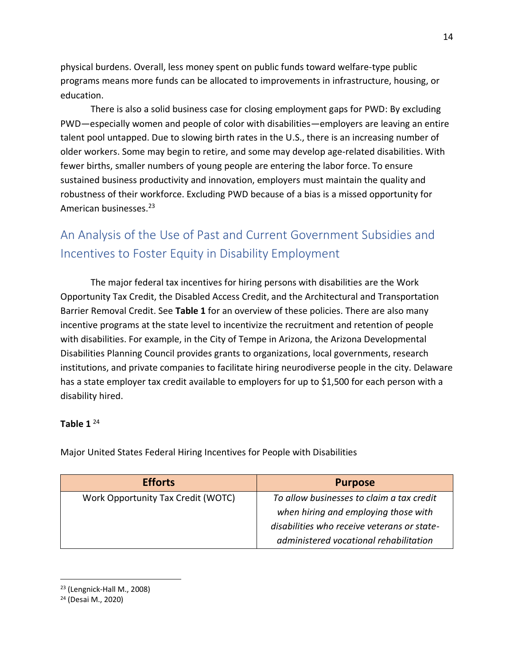physical burdens. Overall, less money spent on public funds toward welfare-type public programs means more funds can be allocated to improvements in infrastructure, housing, or education.

There is also a solid business case for closing employment gaps for PWD: By excluding PWD—especially women and people of color with disabilities—employers are leaving an entire talent pool untapped. Due to slowing birth rates in the U.S., there is an increasing number of older workers. Some may begin to retire, and some may develop age-related disabilities. With fewer births, smaller numbers of young people are entering the labor force. To ensure sustained business productivity and innovation, employers must maintain the quality and robustness of their workforce. Excluding PWD because of a bias is a missed opportunity for American businesses.<sup>23</sup>

# <span id="page-14-0"></span>An Analysis of the Use of Past and Current Government Subsidies and Incentives to Foster Equity in Disability Employment

The major federal tax incentives for hiring persons with disabilities are the Work Opportunity Tax Credit, the Disabled Access Credit, and the Architectural and Transportation Barrier Removal Credit. See **Table 1** for an overview of these policies. There are also many incentive programs at the state level to incentivize the recruitment and retention of people with disabilities. For example, in the City of Tempe in Arizona, the Arizona Developmental Disabilities Planning Council provides grants to organizations, local governments, research institutions, and private companies to facilitate hiring neurodiverse people in the city. Delaware has a state employer tax credit available to employers for up to \$1,500 for each person with a disability hired.

#### **Table 1**  $^{24}$

Major United States Federal Hiring Incentives for People with Disabilities

| <b>Efforts</b>                     | <b>Purpose</b>                              |
|------------------------------------|---------------------------------------------|
| Work Opportunity Tax Credit (WOTC) | To allow businesses to claim a tax credit   |
|                                    | when hiring and employing those with        |
|                                    | disabilities who receive veterans or state- |
|                                    | administered vocational rehabilitation      |

#### <sup>23</sup> (Lengnick-Hall M., 2008)

<sup>24</sup> (Desai M., 2020)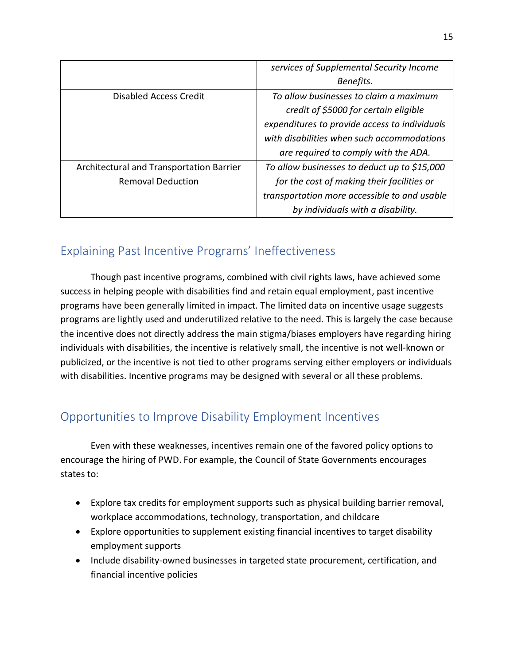|                                          | services of Supplemental Security Income      |
|------------------------------------------|-----------------------------------------------|
|                                          | Benefits.                                     |
| Disabled Access Credit                   | To allow businesses to claim a maximum        |
|                                          | credit of \$5000 for certain eligible         |
|                                          | expenditures to provide access to individuals |
|                                          | with disabilities when such accommodations    |
|                                          | are required to comply with the ADA.          |
| Architectural and Transportation Barrier | To allow businesses to deduct up to \$15,000  |
| <b>Removal Deduction</b>                 | for the cost of making their facilities or    |
|                                          | transportation more accessible to and usable  |
|                                          | by individuals with a disability.             |

## <span id="page-15-0"></span>Explaining Past Incentive Programs' Ineffectiveness

Though past incentive programs, combined with civil rights laws, have achieved some success in helping people with disabilities find and retain equal employment, past incentive programs have been generally limited in impact. The limited data on incentive usage suggests programs are lightly used and underutilized relative to the need. This is largely the case because the incentive does not directly address the main stigma/biases employers have regarding hiring individuals with disabilities, the incentive is relatively small, the incentive is not well-known or publicized, or the incentive is not tied to other programs serving either employers or individuals with disabilities. Incentive programs may be designed with several or all these problems.

## <span id="page-15-1"></span>Opportunities to Improve Disability Employment Incentives

Even with these weaknesses, incentives remain one of the favored policy options to encourage the hiring of PWD. For example, the Council of State Governments encourages states to:

- Explore tax credits for employment supports such as physical building barrier removal, workplace accommodations, technology, transportation, and childcare
- Explore opportunities to supplement existing financial incentives to target disability employment supports
- Include disability-owned businesses in targeted state procurement, certification, and financial incentive policies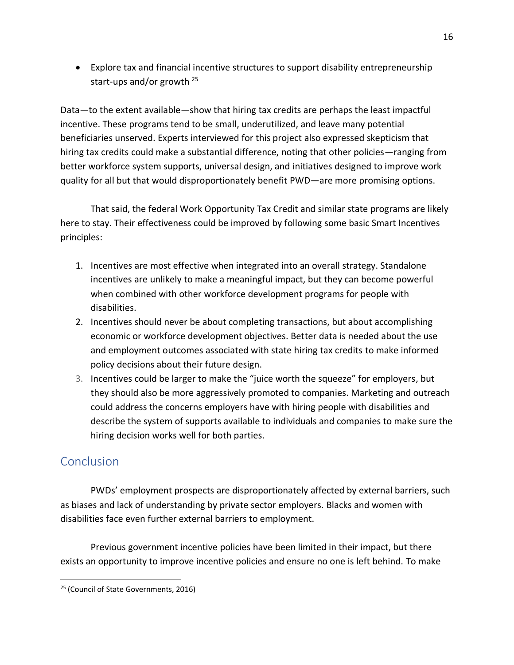• Explore tax and financial incentive structures to support disability entrepreneurship start-ups and/or growth <sup>25</sup>

Data—to the extent available—show that hiring tax credits are perhaps the least impactful incentive. These programs tend to be small, underutilized, and leave many potential beneficiaries unserved. Experts interviewed for this project also expressed skepticism that hiring tax credits could make a substantial difference, noting that other policies—ranging from better workforce system supports, universal design, and initiatives designed to improve work quality for all but that would disproportionately benefit PWD—are more promising options.

That said, the federal Work Opportunity Tax Credit and similar state programs are likely here to stay. Their effectiveness could be improved by following some basic Smart Incentives principles:

- 1. Incentives are most effective when integrated into an overall strategy. Standalone incentives are unlikely to make a meaningful impact, but they can become powerful when combined with other workforce development programs for people with disabilities.
- 2. Incentives should never be about completing transactions, but about accomplishing economic or workforce development objectives. Better data is needed about the use and employment outcomes associated with state hiring tax credits to make informed policy decisions about their future design.
- 3. Incentives could be larger to make the "juice worth the squeeze" for employers, but they should also be more aggressively promoted to companies. Marketing and outreach could address the concerns employers have with hiring people with disabilities and describe the system of supports available to individuals and companies to make sure the hiring decision works well for both parties.

## <span id="page-16-0"></span>**Conclusion**

PWDs' employment prospects are disproportionately affected by external barriers, such as biases and lack of understanding by private sector employers. Blacks and women with disabilities face even further external barriers to employment.

Previous government incentive policies have been limited in their impact, but there exists an opportunity to improve incentive policies and ensure no one is left behind. To make

<sup>25</sup> (Council of State Governments, 2016)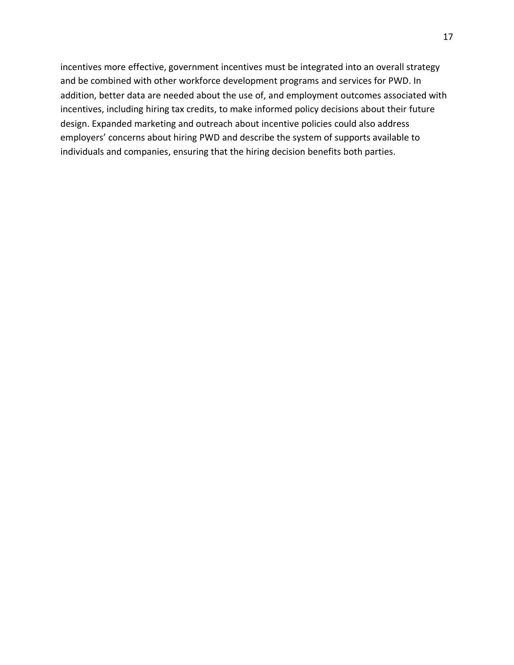incentives more effective, government incentives must be integrated into an overall strategy and be combined with other workforce development programs and services for PWD. In addition, better data are needed about the use of, and employment outcomes associated with incentives, including hiring tax credits, to make informed policy decisions about their future design. Expanded marketing and outreach about incentive policies could also address employers' concerns about hiring PWD and describe the system of supports available to individuals and companies, ensuring that the hiring decision benefits both parties.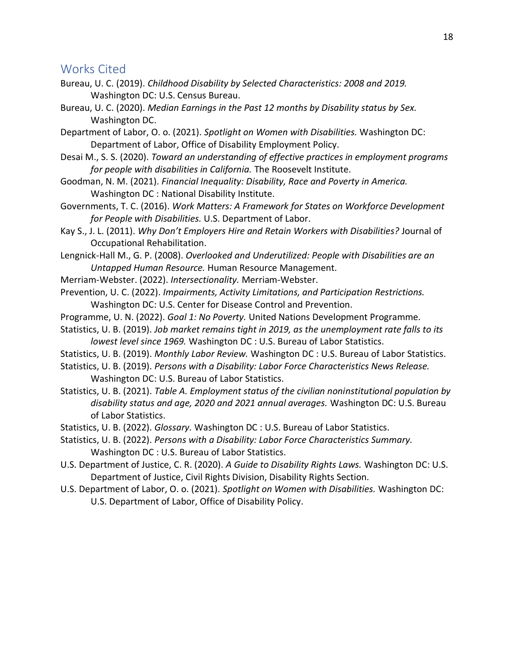#### <span id="page-18-0"></span>Works Cited

- Bureau, U. C. (2019). *Childhood Disability by Selected Characteristics: 2008 and 2019.* Washington DC: U.S. Census Bureau.
- Bureau, U. C. (2020). *Median Earnings in the Past 12 months by Disability status by Sex.* Washington DC.

Department of Labor, O. o. (2021). *Spotlight on Women with Disabilities.* Washington DC: Department of Labor, Office of Disability Employment Policy.

- Desai M., S. S. (2020). *Toward an understanding of effective practices in employment programs for people with disabilities in California.* The Roosevelt Institute.
- Goodman, N. M. (2021). *Financial Inequality: Disability, Race and Poverty in America.* Washington DC : National Disability Institute.
- Governments, T. C. (2016). *Work Matters: A Framework for States on Workforce Development for People with Disabilities.* U.S. Department of Labor.
- Kay S., J. L. (2011). *Why Don't Employers Hire and Retain Workers with Disabilities?* Journal of Occupational Rehabilitation.

Lengnick-Hall M., G. P. (2008). *Overlooked and Underutilized: People with Disabilities are an Untapped Human Resource.* Human Resource Management.

- Merriam-Webster. (2022). *Intersectionality.* Merriam-Webster.
- Prevention, U. C. (2022). *Impairments, Activity Limitations, and Participation Restrictions.* Washington DC: U.S. Center for Disease Control and Prevention.
- Programme, U. N. (2022). *Goal 1: No Poverty.* United Nations Development Programme.
- Statistics, U. B. (2019). *Job market remains tight in 2019, as the unemployment rate falls to its lowest level since 1969.* Washington DC : U.S. Bureau of Labor Statistics.
- Statistics, U. B. (2019). *Monthly Labor Review.* Washington DC : U.S. Bureau of Labor Statistics.
- Statistics, U. B. (2019). *Persons with a Disability: Labor Force Characteristics News Release.* Washington DC: U.S. Bureau of Labor Statistics.
- Statistics, U. B. (2021). *Table A. Employment status of the civilian noninstitutional population by disability status and age, 2020 and 2021 annual averages.* Washington DC: U.S. Bureau of Labor Statistics.
- Statistics, U. B. (2022). *Glossary.* Washington DC : U.S. Bureau of Labor Statistics.
- Statistics, U. B. (2022). *Persons with a Disability: Labor Force Characteristics Summary.* Washington DC : U.S. Bureau of Labor Statistics.
- U.S. Department of Justice, C. R. (2020). *A Guide to Disability Rights Laws.* Washington DC: U.S. Department of Justice, Civil Rights Division, Disability Rights Section.
- U.S. Department of Labor, O. o. (2021). *Spotlight on Women with Disabilities.* Washington DC: U.S. Department of Labor, Office of Disability Policy.